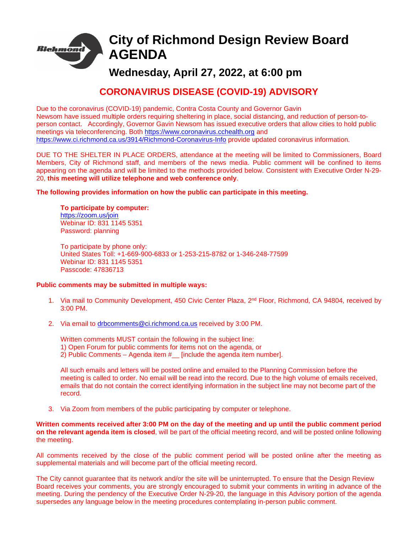

# **City of Richmond Design Review Board AGENDA**

# **Wednesday, April 27, 2022, at 6:00 pm**

# **CORONAVIRUS DISEASE (COVID-19) ADVISORY**

Due to the coronavirus (COVID-19) pandemic, Contra Costa County and Governor Gavin Newsom have issued multiple orders requiring sheltering in place, social distancing, and reduction of person-toperson contact. Accordingly, Governor Gavin Newsom has issued executive orders that allow cities to hold public meetings via teleconferencing. Both [https://www.coronavirus.cchealth.org](https://www.coronavirus.cchealth.org/) and <https://www.ci.richmond.ca.us/3914/Richmond-Coronavirus-Info> provide updated coronavirus information.

DUE TO THE SHELTER IN PLACE ORDERS, attendance at the meeting will be limited to Commissioners, Board Members, City of Richmond staff, and members of the news media. Public comment will be confined to items appearing on the agenda and will be limited to the methods provided below. Consistent with Executive Order N-29- 20, **this meeting will utilize telephone and web conference only**.

## **The following provides information on how the public can participate in this meeting.**

### **To participate by computer:** <https://zoom.us/join> Webinar ID: 831 1145 5351 Password: planning

To participate by phone only: United States Toll: +1-669-900-6833 or 1-253-215-8782 or 1-346-248-77599 Webinar ID: 831 1145 5351 Passcode: 47836713

## **Public comments may be submitted in multiple ways:**

- 1. Via mail to Community Development, 450 Civic Center Plaza, 2<sup>nd</sup> Floor, Richmond, CA 94804, received by 3:00 PM.
- 2. Via email to [drbcomments@ci.richmond.ca.us](mailto:drbcomments@ci.richmond.ca.us) received by 3:00 PM.

Written comments MUST contain the following in the subject line:

- 1) Open Forum for public comments for items not on the agenda, or
- 2) Public Comments Agenda item  $#$  [include the agenda item number].

All such emails and letters will be posted online and emailed to the Planning Commission before the meeting is called to order. No email will be read into the record. Due to the high volume of emails received, emails that do not contain the correct identifying information in the subject line may not become part of the record.

3. Via Zoom from members of the public participating by computer or telephone.

**Written comments received after 3:00 PM on the day of the meeting and up until the public comment period on the relevant agenda item is closed**, will be part of the official meeting record, and will be posted online following the meeting.

All comments received by the close of the public comment period will be posted online after the meeting as supplemental materials and will become part of the official meeting record.

The City cannot guarantee that its network and/or the site will be uninterrupted. To ensure that the Design Review Board receives your comments, you are strongly encouraged to submit your comments in writing in advance of the meeting. During the pendency of the Executive Order N-29-20, the language in this Advisory portion of the agenda supersedes any language below in the meeting procedures contemplating in-person public comment.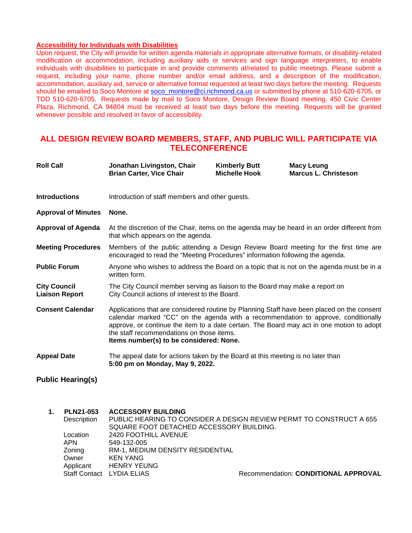### **Accessibility for Individuals with Disabilities**

Upon request, the City will provide for written agenda materials in appropriate alternative formats, or disability-related modification or accommodation, including auxiliary aids or services and sign language interpreters, to enable individuals with disabilities to participate in and provide comments at/related to public meetings. Please submit a request, including your name, phone number and/or email address, and a description of the modification, accommodation, auxiliary aid, service or alternative format requested at least two days before the meeting. Requests should be emailed to Soco Montore at [soco\\_montore@ci.richmond.ca.us](mailto:soco_montore@ci.richmond.ca.us) or submitted by phone at 510-620-6705, or TDD 510-620-6705. Requests made by mail to Soco Montore, Design Review Board meeting, 450 Civic Center Plaza, Richmond, CA 94804 must be received at least two days before the meeting. Requests will be granted whenever possible and resolved in favor of accessibility.

# **ALL DESIGN REVIEW BOARD MEMBERS, STAFF, AND PUBLIC WILL PARTICIPATE VIA TELECONFERENCE**

| <b>Roll Call</b>                                 | Jonathan Livingston, Chair<br><b>Brian Carter, Vice Chair</b>                                                                                                                                                                                                                                                                                                         | <b>Kimberly Butt</b><br><b>Michelle Hook</b> | <b>Macy Leung</b><br><b>Marcus L. Christeson</b> |
|--------------------------------------------------|-----------------------------------------------------------------------------------------------------------------------------------------------------------------------------------------------------------------------------------------------------------------------------------------------------------------------------------------------------------------------|----------------------------------------------|--------------------------------------------------|
| <b>Introductions</b>                             | Introduction of staff members and other guests.                                                                                                                                                                                                                                                                                                                       |                                              |                                                  |
| <b>Approval of Minutes</b>                       | None.                                                                                                                                                                                                                                                                                                                                                                 |                                              |                                                  |
| <b>Approval of Agenda</b>                        | At the discretion of the Chair, items on the agenda may be heard in an order different from<br>that which appears on the agenda.                                                                                                                                                                                                                                      |                                              |                                                  |
| <b>Meeting Procedures</b>                        | Members of the public attending a Design Review Board meeting for the first time are<br>encouraged to read the "Meeting Procedures" information following the agenda.                                                                                                                                                                                                 |                                              |                                                  |
| <b>Public Forum</b>                              | Anyone who wishes to address the Board on a topic that is not on the agenda must be in a<br>written form.                                                                                                                                                                                                                                                             |                                              |                                                  |
| <b>City Council</b><br><b>Liaison Report</b>     | The City Council member serving as liaison to the Board may make a report on<br>City Council actions of interest to the Board.                                                                                                                                                                                                                                        |                                              |                                                  |
| <b>Consent Calendar</b>                          | Applications that are considered routine by Planning Staff have been placed on the consent<br>calendar marked "CC" on the agenda with a recommendation to approve, conditionally<br>approve, or continue the item to a date certain. The Board may act in one motion to adopt<br>the staff recommendations on those items.<br>Items number(s) to be considered: None. |                                              |                                                  |
| <b>Appeal Date</b>                               | The appeal date for actions taken by the Board at this meeting is no later than<br>5:00 pm on Monday, May 9, 2022.                                                                                                                                                                                                                                                    |                                              |                                                  |
| <b>Public Hearing(s)</b>                         |                                                                                                                                                                                                                                                                                                                                                                       |                                              |                                                  |
| <b>PLN21-053</b><br>$\mathbf 1$ .<br>Description | <b>ACCESSORY BUILDING</b><br>PUBLIC HEARING TO CONSIDER A DESIGN REVIEW PERMT TO CONSTRUCT A 655<br>SQUARE FOOT DETACHED ACCESSORY BUILDING.                                                                                                                                                                                                                          |                                              |                                                  |

Location 2420 FOOTHILL AVENUE<br>APN 549-132-005

549-132-005

Zoning RM-1, MEDIUM DENSITY RESIDENTIAL

Owner KEN YANG<br>Applicant HENRY YEU Applicant HENRY YEUNG<br>Staff Contact LYDIA ELIAS

Recommendation: **CONDITIONAL APPROVAL**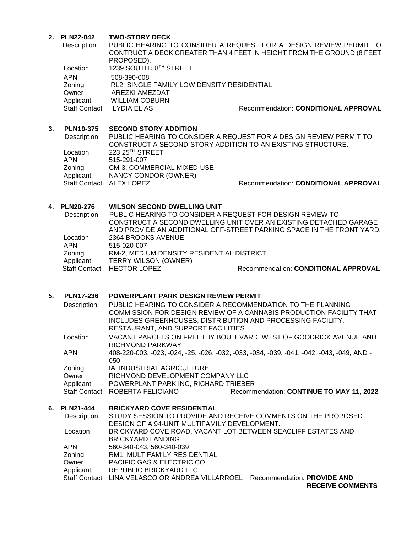## **2. PLN22-042 TWO-STORY DECK**

| Description          |                                            | PUBLIC HEARING TO CONSIDER A REQUEST FOR A DESIGN REVIEW PERMIT TO    |
|----------------------|--------------------------------------------|-----------------------------------------------------------------------|
|                      |                                            | CONTRUCT A DECK GREATER THAN 4 FEET IN HEIGHT FROM THE GROUND (8 FEET |
|                      | PROPOSED).                                 |                                                                       |
| Location             | 1239 SOUTH 58TH STREET                     |                                                                       |
| <b>APN</b>           | 508-390-008                                |                                                                       |
| Zoning               | RL2, SINGLE FAMILY LOW DENSITY RESIDENTIAL |                                                                       |
| Owner                | AREZKI AMEZDAT                             |                                                                       |
| Applicant            | <b>WILLIAM COBURN</b>                      |                                                                       |
| <b>Staff Contact</b> | LYDIA ELIAS                                | Recommendation: CONDITIONAL APPROVAL                                  |
|                      |                                            |                                                                       |

# **3. PLN19-375 SECOND STORY ADDITION**

PUBLIC HEARING TO CONSIDER A REQUEST FOR A DESIGN REVIEW PERMIT TO CONSTRUCT A SECOND-STORY ADDITION TO AN EXISTING STRUCTURE. Location 223 25<sup>TH</sup> STREET<br>APN 515-291-007 APN 515-291-007<br>
Zoning CM-3, COMM Zoning CM-3, COMMERCIAL MIXED-USE<br>Applicant NANCY CONDOR (OWNER) NANCY CONDOR (OWNER) Staff Contact ALEX LOPEZ Recommendation: **CONDITIONAL APPROVAL**

### **4. PLN20-276 WILSON SECOND DWELLING UNIT**

| Description          | PUBLIC HEARING TO CONSIDER A REQUEST FOR DESIGN REVIEW TO |                                                                       |
|----------------------|-----------------------------------------------------------|-----------------------------------------------------------------------|
|                      |                                                           | CONSTRUCT A SECOND DWELLING UNIT OVER AN EXISTING DETACHED GARAGE     |
|                      |                                                           | AND PROVIDE AN ADDITIONAL OFF-STREET PARKING SPACE IN THE FRONT YARD. |
| Location             | 2364 BROOKS AVENUE                                        |                                                                       |
| <b>APN</b>           | 515-020-007                                               |                                                                       |
| Zoning               | RM-2, MEDIUM DENSITY RESIDENTIAL DISTRICT                 |                                                                       |
| Applicant            | <b>TERRY WILSON (OWNER)</b>                               |                                                                       |
| <b>Staff Contact</b> | <b>HECTOR LOPEZ</b>                                       | Recommendation: CONDITIONAL APPROVAL                                  |
|                      |                                                           |                                                                       |

## **5. PLN17-236 POWERPLANT PARK DESIGN REVIEW PERMIT**

| Description          |                                      | PUBLIC HEARING TO CONSIDER A RECOMMENDATION TO THE PLANNING<br>COMMISSION FOR DESIGN REVIEW OF A CANNABIS PRODUCTION FACILITY THAT |
|----------------------|--------------------------------------|------------------------------------------------------------------------------------------------------------------------------------|
|                      |                                      | INCLUDES GREENHOUSES, DISTRIBUTION AND PROCESSING FACILITY,                                                                        |
|                      | RESTAURANT, AND SUPPORT FACILITIES.  |                                                                                                                                    |
| Location             | RICHMOND PARKWAY                     | VACANT PARCELS ON FREETHY BOULEVARD, WEST OF GOODRICK AVENUE AND                                                                   |
| <b>APN</b>           | 050                                  | 408-220-003, -023, -024, -25, -026, -032, -033, -034, -039, -041, -042, -043, -049, AND -                                          |
| Zoning               | IA, INDUSTRIAL AGRICULTURE           |                                                                                                                                    |
| Owner                | RICHMOND DEVELOPMENT COMPANY LLC     |                                                                                                                                    |
| Applicant            | POWERPLANT PARK INC, RICHARD TRIEBER |                                                                                                                                    |
| <b>Staff Contact</b> | ROBERTA FELICIANO                    | Recommendation: CONTINUE TO MAY 11, 2022                                                                                           |

# **6. PLN21-444 BRICKYARD COVE RESIDENTIAL**

| Description          | STUDY SESSION TO PROVIDE AND RECEIVE COMMENTS ON THE PROPOSED    |
|----------------------|------------------------------------------------------------------|
|                      | DESIGN OF A 94-UNIT MULTIFAMILY DEVELOPMENT.                     |
| Location             | BRICKYARD COVE ROAD, VACANT LOT BETWEEN SEACLIFF ESTATES AND     |
|                      | BRICKYARD LANDING.                                               |
| <b>APN</b>           | 560-340-043, 560-340-039                                         |
| Zoning               | RM1, MULTIFAMILY RESIDENTIAL                                     |
| Owner                | PACIFIC GAS & ELECTRIC CO                                        |
| Applicant            | REPUBLIC BRICKYARD LLC                                           |
| <b>Staff Contact</b> | LINA VELASCO OR ANDREA VILLARROEL<br>Recommendation: PROVIDE AND |
|                      |                                                                  |

 **RECEIVE COMMENTS**